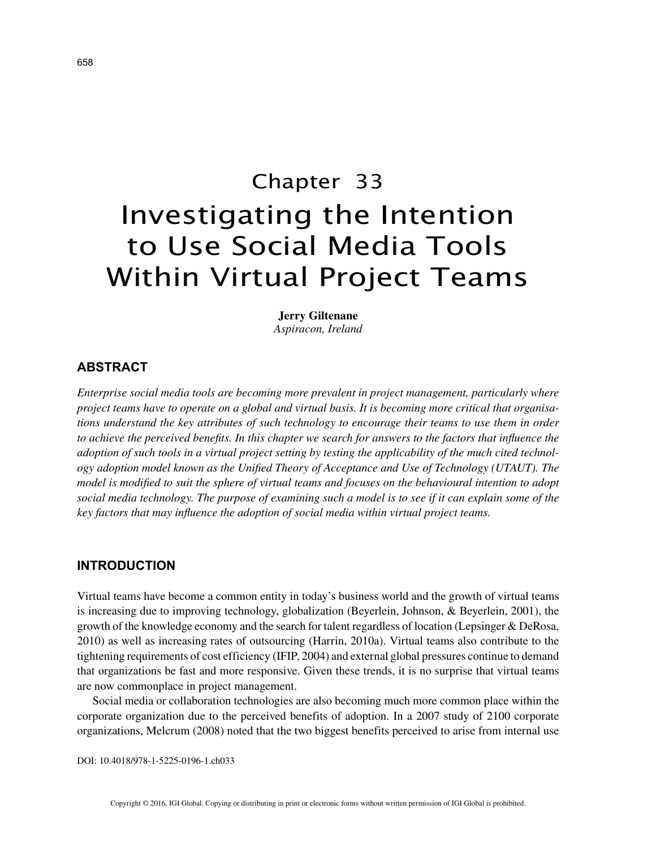# Chapter 33 Investigating the Intention to Use Social Media Tools Within Virtual Project Teams

**Jerry Giltenane** *Aspiracon, Ireland*

## **ABSTRACT**

*Enterprise social media tools are becoming more prevalent in project management, particularly where project teams have to operate on a global and virtual basis. It is becoming more critical that organisations understand the key attributes of such technology to encourage their teams to use them in order to achieve the perceived benefits. In this chapter we search for answers to the factors that influence the adoption of such tools in a virtual project setting by testing the applicability of the much cited technology adoption model known as the Unified Theory of Acceptance and Use of Technology (UTAUT). The model is modified to suit the sphere of virtual teams and focuses on the behavioural intention to adopt social media technology. The purpose of examining such a model is to see if it can explain some of the key factors that may influence the adoption of social media within virtual project teams.*

## **INTRODUCTION**

Virtual teams have become a common entity in today's business world and the growth of virtual teams is increasing due to improving technology, globalization (Beyerlein, Johnson, & Beyerlein, 2001), the growth of the knowledge economy and the search for talent regardless of location (Lepsinger & DeRosa, 2010) as well as increasing rates of outsourcing (Harrin, 2010a). Virtual teams also contribute to the tightening requirements of cost efficiency (IFIP, 2004) and external global pressures continue to demand that organizations be fast and more responsive. Given these trends, it is no surprise that virtual teams are now commonplace in project management.

Social media or collaboration technologies are also becoming much more common place within the corporate organization due to the perceived benefits of adoption. In a 2007 study of 2100 corporate organizations, Melcrum (2008) noted that the two biggest benefits perceived to arise from internal use

DOI: 10.4018/978-1-5225-0196-1.ch033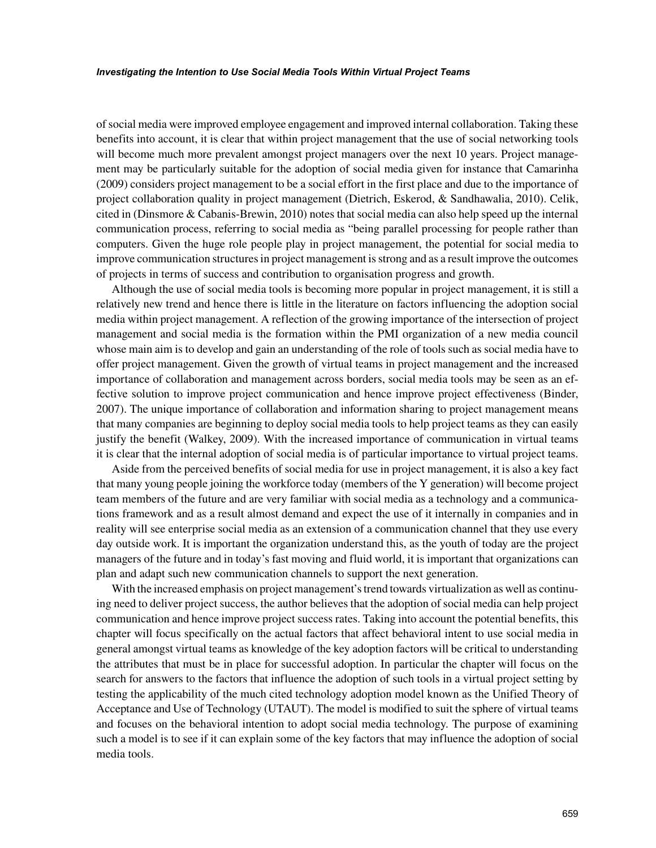of social media were improved employee engagement and improved internal collaboration. Taking these benefits into account, it is clear that within project management that the use of social networking tools will become much more prevalent amongst project managers over the next 10 years. Project management may be particularly suitable for the adoption of social media given for instance that Camarinha (2009) considers project management to be a social effort in the first place and due to the importance of project collaboration quality in project management (Dietrich, Eskerod, & Sandhawalia, 2010). Celik, cited in (Dinsmore & Cabanis-Brewin, 2010) notes that social media can also help speed up the internal communication process, referring to social media as "being parallel processing for people rather than computers. Given the huge role people play in project management, the potential for social media to improve communication structures in project management is strong and as a result improve the outcomes of projects in terms of success and contribution to organisation progress and growth.

Although the use of social media tools is becoming more popular in project management, it is still a relatively new trend and hence there is little in the literature on factors influencing the adoption social media within project management. A reflection of the growing importance of the intersection of project management and social media is the formation within the PMI organization of a new media council whose main aim is to develop and gain an understanding of the role of tools such as social media have to offer project management. Given the growth of virtual teams in project management and the increased importance of collaboration and management across borders, social media tools may be seen as an effective solution to improve project communication and hence improve project effectiveness (Binder, 2007). The unique importance of collaboration and information sharing to project management means that many companies are beginning to deploy social media tools to help project teams as they can easily justify the benefit (Walkey, 2009). With the increased importance of communication in virtual teams it is clear that the internal adoption of social media is of particular importance to virtual project teams.

Aside from the perceived benefits of social media for use in project management, it is also a key fact that many young people joining the workforce today (members of the Y generation) will become project team members of the future and are very familiar with social media as a technology and a communications framework and as a result almost demand and expect the use of it internally in companies and in reality will see enterprise social media as an extension of a communication channel that they use every day outside work. It is important the organization understand this, as the youth of today are the project managers of the future and in today's fast moving and fluid world, it is important that organizations can plan and adapt such new communication channels to support the next generation.

With the increased emphasis on project management's trend towards virtualization as well as continuing need to deliver project success, the author believes that the adoption of social media can help project communication and hence improve project success rates. Taking into account the potential benefits, this chapter will focus specifically on the actual factors that affect behavioral intent to use social media in general amongst virtual teams as knowledge of the key adoption factors will be critical to understanding the attributes that must be in place for successful adoption. In particular the chapter will focus on the search for answers to the factors that influence the adoption of such tools in a virtual project setting by testing the applicability of the much cited technology adoption model known as the Unified Theory of Acceptance and Use of Technology (UTAUT). The model is modified to suit the sphere of virtual teams and focuses on the behavioral intention to adopt social media technology. The purpose of examining such a model is to see if it can explain some of the key factors that may influence the adoption of social media tools.